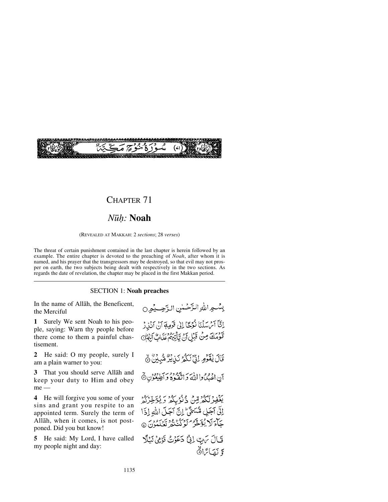

## CHAPTER 71

## *N∂√:* **Noah**

(REVEALED AT MAKKAH: 2 *sections*; 28 *verses*)

The threat of certain punishment contained in the last chapter is herein followed by an example. The entire chapter is devoted to the preaching of *Noah*, after whom it is named, and his prayer that the transgressors may be destroyed, so that evil may not prosper on earth, the two subjects being dealt with respectively in the two sections. As regards the date of revelation, the chapter may be placed in the first Makkan period.

### SECTION 1: **Noah preaches**

In the name of Allåh, the Beneficent, the Merciful

**1** Surely We sent Noah to his people, saying: Warn thy people before there come to them a painful chastisement.

**2** He said: O my people, surely I am a plain warner to you:

**3** That you should serve Allåh and keep your duty to Him and obey me —

**4** He will forgive you some of your sins and grant you respite to an appointed term. Surely the term of Allåh, when it comes, is not postponed. Did you but know!

**5** He said: My Lord, I have called my people night and day:

بِسْعِراللَّهِ الزَّحْسٰنِ الزَّحِسِيْعِرِ 0 النَّاَ آمُ سَلْنَا نُوْحًا إِلَىٰ قَوْمِهَا آنَ آنَذِرْ قَوْمَكَ مِنْ قَبْلِ أَنْ يَأْتِيهِمْ عَذَانٌ أَلَيْهِمْ قَالَ يَقْوَمِ لِنَّ لَكُمْ نَبِي يُرْهُمْ بِي الْمَرْدُونَ نَ أن اعْبُكُوا اللَّهَ وَاتَّقَعُوهُ وَأَطِيعُوْنِ ثَلَ رد ويهوري دُنُوبگر وَيُؤَخِّرُكُمْ إِلَّى آجَلِي مُّسَمًّىٌّ إِنَّ آجَلَ اللهِ إِذَا جَآءَ لَا يُؤَخَّرُ كَوْكَنْ دُو يَرَبُونَ ۞ فَالَ يَرْبِ إِنِّي دَعَوْتُ قَوْمِي لَيْلًا وَ نَصَائِرًا**﴾**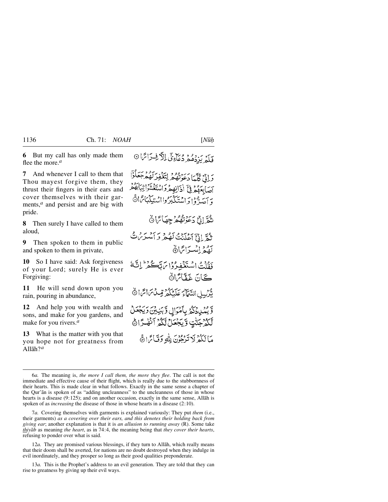**6** But my call has only made them flee the more.*<sup>a</sup>*

**7** And whenever I call to them that Thou mayest forgive them, they thrust their fingers in their ears and cover themselves with their garments,<sup>*a*</sup> and persist and are big with pride.

**8** Then surely I have called to them aloud,

**9** Then spoken to them in public and spoken to them in private,

**10** So I have said: Ask forgiveness of your Lord; surely He is ever Forgiving:

**11** He will send down upon you rain, pouring in abundance,

**12** And help you with wealth and sons, and make for you gardens, and make for you rivers.*<sup>a</sup>*

**13** What is the matter with you that you hope not for greatness from Allåh?*<sup>a</sup>*

وَإِنِّيْ كُلَّمَا دَعَوْنَهُمْ لِتَغْفِرَكَهُمْ جَعَلُوْٓا رري ملة.<br>آسَابِعَهُمْ فِيَّ أَدَانِهِمْ وَاسْتَغْشَوْاتِيَابَهُمْ وَ آصَدٌّوْا وَاسْتَكَبَرُوااسْتِكِيْبَائِرَا۞

ثَقَرَّ إِنَّ دَعَوْنَهُمْ جِهَائِهَا ۞

ثَدُّ إِذْمَ آَعَلَنْتُ لَهُ مِ يَهُ أَسْبَرِيْنَ ثَّ لَقَعْ إِنْبِ آمَّ! هُ ذَةًكُتُ اسْتَذْغِيرُوْا بِرَبِّكُمْ ثَرَ النَّهَ كَانَ غَفَّائِهَاهُ يَّزْبِيلِ السَّمَآءَ عَلَيْكُمْ قِبِيلُ مَاتَمَا اَثْرَ وَّيْمُدِدْكُمُ بِأَمْرَالٍ وَّبَنِيْنَ وَيَجْعَلُ لَّكُمُّ جَنَّتٍ وَيَجْعَلُ تَّكُمُّ آنَّهُ رَّاهُ

مَالَكُمْ لَا تَدْجُونَ لِلَّهِ وَقَبَائَهَا هَ

7*a.* Covering themselves with garments is explained variously: They put *them* (i.e., their garments) *as a covering over their ears, and this denotes their holding back from giving ear*; another explanation is that it is *an allusion to running away* (R). Some take *thiyåb* as meaning *the heart*, as in 74:4, the meaning being that *they cover their hearts*, refusing to ponder over what is said.

12*a.* They are promised various blessings, if they turn to Allåh, which really means that their doom shall be averted, for nations are no doubt destroyed when they indulge in evil inordinately, and they prosper so long as their good qualities preponderate.

13*a.* This is the Prophet's address to an evil generation. They are told that they can rise to greatness by giving up their evil ways.

فَلَمُرِ يَزِدُهُمُ دُعَاءِيِّ الْأَفِرَائِهَا ۞

<sup>6</sup>*a.* The meaning is, *the more I call them, the more they flee*. The call is not the immediate and effective cause of their flight, which is really due to the stubbornness of their hearts. This is made clear in what follows. Exactly in the same sense a chapter of the Qur'ån is spoken of as "adding uncleanness" to the uncleanness of those in whose hearts is a disease (9:125); and on another occasion, exactly in the same sense, Allåh is spoken of as *increasing* the disease of those in whose hearts in a disease (2:10).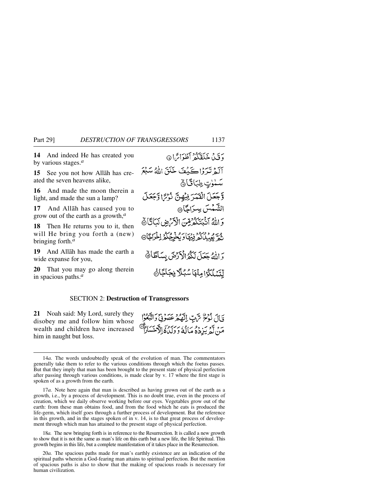**14** And indeed He has created you by various stages.*<sup>a</sup>*

**15** See you not how Allåh has created the seven heavens alike,

**16** And made the moon therein a light, and made the sun a lamp?

**17** And Allåh has caused you to grow out of the earth as a growth,*<sup>a</sup>*

**18** Then He returns you to it, then will He bring you forth a (new) bringing forth.*<sup>a</sup>*

**19** And Allåh has made the earth a wide expanse for you,

**20** That you may go along therein in spacious paths.*<sup>a</sup>*

دَقَيْبُا خَلَقَكُمْ أَطْدَائِرَا ۞ آلَهُ تَبَرَدُاكَيْݣُفَ خَلَقَ اللَّهُ سَنْعَ سَمْوٰتٍ طِبَاقَانَ وَّجَعَلَ الْقَمَرَ فِيُهِنَّ نُرْسً اوَّجَعَلَ الشَّمْسَ سِرَاجًا۞ وَاللَّهُ أَثَبَتَكُمُرِّضِ الْأَرَضِ نَبَاتًا ﴾ <u>شَمَّ بِعِبْبُاكُمْ فِيهْاَ وَيُخْرِجُكُمُ اِخْرَاجَاْ@</u> وَاللَّهُ جَعَلَ لَكُمُرُالْكَرْضَ بِسَاطًا فَ لِّتَسْلَكُوْا مِنْهَا سُبُلًا فِجَاجًاهُ

#### SECTION 2: **Destruction of Transgressors**

**21** Noah said: My Lord, surely they disobey me and follow him whose wealth and children have increased him in naught but loss.

قَالَ نُوْحُ سَّ بِّ اتَّهُكُّهُ عَصَوْنِي دِأَنْتُمُوا ৰ্জি্ مَنْ لَهُمْ يَزِدُهُ مَالَهُ دَ دَيْنَهُمْ الْآخَسَ

18*a.* The new bringing forth is in reference to the Resurrection. It is called a new growth to show that it is not the same as man's life on this earth but a new life, the life Spiritual. This growth begins in this life, but a complete manifestation of it takes place in the Resurrection.

<sup>14</sup>*a.* The words undoubtedly speak of the evolution of man. The commentators generally take them to refer to the various conditions through which the foetus passes. But that they imply that man has been brought to the present state of physical perfection after passing through various conditions, is made clear by v. 17 where the first stage is spoken of as a growth from the earth.

<sup>17</sup>*a.* Note here again that man is described as having grown out of the earth as a growth, i.e., by a process of development. This is no doubt true, even in the process of creation, which we daily observe working before our eyes. Vegetables grow out of the earth: from these man obtains food, and from the food which he eats is produced the life-germ, which itself goes through a further process of development. But the reference in this growth, and in the stages spoken of in v. 14, is to that great process of development through which man has attained to the present stage of physical perfection.

<sup>20</sup>*a.* The spacious paths made for man's earthly existence are an indication of the spiritual paths wherein a God-fearing man attains to spiritual perfection. But the mention of spacious paths is also to show that the making of spacious roads is necessary for human civilization.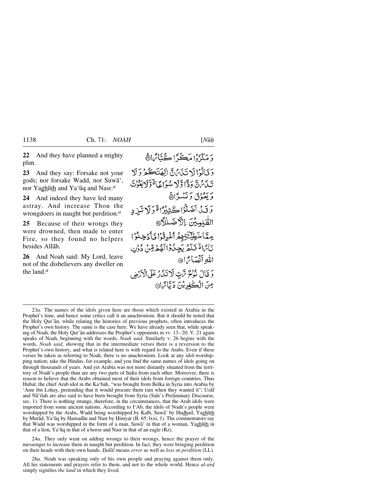**23** And they say: Forsake not your gods; nor forsake Wadd, nor Suwå', nor Yagh∂th and Ya'∂q and Nasr.*<sup>a</sup>*

**24** And indeed they have led many astray. And increase Thou the wrongdoers in naught but perdition.*<sup>a</sup>*

**25** Because of their wrongs they were drowned, then made to enter Fire, so they found no helpers besides Allåh.

**26** And Noah said: My Lord, leave not of the disbelievers any dweller on the land.*<sup>a</sup>*

# وَ مَكَدَّدُوْا مَڪَيًّا اِ ڪَتَائَرَاڤَ وَقَالُوْالَاتَنَامُنَّ الْهَتَكُوْوَلَا تَبْدَىٰنٌ دَدًّا وَّلَا سُوَاعًا ُقَوَّلَا يَغُوُثَ د بَعْدُدْيَ دَ نَبْيَهِ؟ ۞

وَقَىٰ آَضَلُّوُا كَثِيْرًا ةَوَلَا تَيْنِهِ الظُّلِمِيْنَ بِاللَّاضَلِلَامَّ مِيَّاخَطِيِّخْتِهِمْ أَغْدِقُوْا فَأَدْخِلُوْا تَأْتَااةٌ فَلَمَّ يَجِلُوْالَهُمْ قِنْ دُوْنِ الله أنْصَائِ 16

وَقَالَ نُؤْمٌ تَّاتِبٌ لَا تَذَرَ عَلَى الْأَرْضِ مِنَ الْڪٰفِدِيْنَ دَ ٿَائِرَاهِ،

23*a.* The names of the idols given here are those which existed in Arabia in the Prophet's time, and hence some critics call it an anachronism. But it should be noted that the Holy Qur'ån, while relating the histories of previous prophets, often introduces the Prophet's own history. The same is the case here. We have already seen that, while speaking of Noah, the Holy Qur'ån addresses the Prophet's opponents in vv. 13–20. V. 21 again speaks of Noah, beginning with the words, *Noah said*. Similarly v. 26 begins with the words, *Noah said*, showing that in the intermediate verses there is a reversion to the Prophet's own history, and what is related here is with regard to the Arabs. Even if these verses be taken as referring to Noah, there is no anachronism. Look at any idol-worshipping nation; take the Hindus, for example, and you find the same names of idols going on through thousands of years. And yet Arabia was not more distantly situated from the territory of Noah's people than are any two parts of India from each other. Moreover, there is reason to believe that the Arabs obtained most of their idols from foreign countries. Thus Hubal, the chief Arab idol in the Ka'bah, "was brought from Belka in Syria into Arabia by 'Amr ibn Loḥay, pretending that it would procure them rain when they wanted it"; Usaf and Nå'ilah are also said to have been brought from Syria (Sale's Preliminary Discourse, sec. 1). There is nothing strange, therefore, in the circumstances, that the Arab idols were imported from some ancient nations. According to I'Ab, the idols of Noah's people were worshipped by the Arabs, Wadd being worshipped by Kalb, Suwā' by Hudhail, Yaghūth by Murād, Ya'ūq by Hamadān and Nasr by Himyar (B. 65:lxxi, 1). The commentators say that Wadd was worshipped in the form of a man, Suwa in that of a woman, Yaghūth in that of a lion, Ya'∂q in that of a horse and Nasr in that of an eagle (Rz).

24*a.* They only went on adding wrongs to their wrongs, hence the prayer of the messenger to increase them in naught but perdition. In fact, they were bringing perdition on their heads with their own hands. *Óalål* means *error* as well as *loss* or *perdition* (LL).

26*a.* Noah was speaking only of his own people and praying against them only. All his statements and prayers refer to them, and not to the whole world. Hence *al-ard* simply signifies *the land* in which they lived.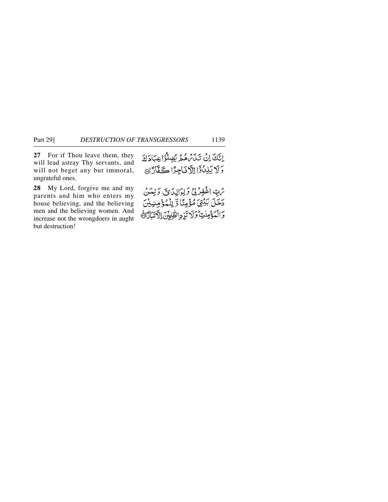**27** For if Thou leave them, they will lead astray Thy servants, and will not beget any but immoral, ungrateful ones.

**28** My Lord, forgive me and my parents and him who enters my house believing, and the believing men and the believing women. And increase not the wrongdoers in aught but destruction!

إِنَّكَ إِنَّ تَدَبَّرُهُ هُمَّ يُضِلُّؤُا عِبَادَكَ وَلَا يَلِدُّوْٓا اِلَّا نَاجِزًا كَقَّارًا ٥

تهبِّ اغْفِرْ لِيْ وَلِوَالِدَى وَلِيَسْ دَخَلَ بَيْتِيَ مُؤْمِنًا وَ لِلْمُؤْمِنِيْنَ وَالْمُؤْمِنْتِ وَلَا تَزِدِ الظَّابِينَ الْأَتَبَادَاةَ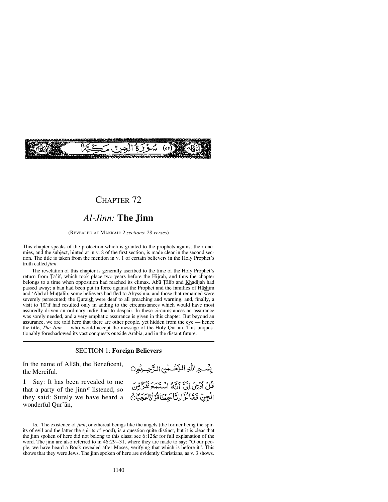

## CHAPTER 72

## *Al-Jinn:* **The Jinn**

#### (REVEALED AT MAKKAH: 2 *sections*; 28 *verses*)

This chapter speaks of the protection which is granted to the prophets against their enemies, and the subject, hinted at in v. 8 of the first section, is made clear in the second section. The title is taken from the mention in v. 1 of certain believers in the Holy Prophet's truth called *jinn*.

The revelation of this chapter is generally ascribed to the time of the Holy Prophet's return from Ta'if, which took place two years before the Hijrah, and thus the chapter belongs to a time when opposition had reached its climax. Abū Tālib and Khadījah had passed away; a ban had been put in force against the Prophet and the families of Håshim and 'Abd al-Muttalib; some believers had fled to Abyssinia, and those that remained were severely persecuted; the Quraish were deaf to all preaching and warning, and, finally, a visit to Ta'if had resulted only in adding to the circumstances which would have most assuredly driven an ordinary individual to despair. In these circumstances an assurance was sorely needed, and a very emphatic assurance is given in this chapter. But beyond an assurance, we are told here that there are other people, yet hidden from the eye — hence the title, *The Jinn* — who would accept the message of the Holy Qur'ån. This unquestionably foreshadowed its vast conquests outside Arabia, and in the distant future.

### SECTION 1: **Foreign Believers**

In the name of Allåh, the Beneficent, the Merciful.

**1** Say: It has been revealed to me that a party of the jinn*<sup>a</sup>* listened, so they said: Surely we have heard a wonderful Qur'ån,

بِسْـهِ اللهِ الرَّحْــٰنِ الرَّحِــِيْمِرِ0 قُلْ أُوْجِيَ إِلَيَّ أَنَّهُ السُّنَعَعَ نَفَرٌّ قِنَ

<sup>1</sup>*a.* The existence of *jinn*, or ethereal beings like the angels (the former being the spirits of evil and the latter the spirits of good), is a question quite distinct, but it is clear that the jinn spoken of here did not belong to this class; see 6:128*a* for full explanation of the word. The jinn are also referred to in 46:29–31, where they are made to say: "O our people, we have heard a Book revealed after Moses, verifying that which is before it". This shows that they were Jews. The jinn spoken of here are evidently Christians, as v. 3 shows.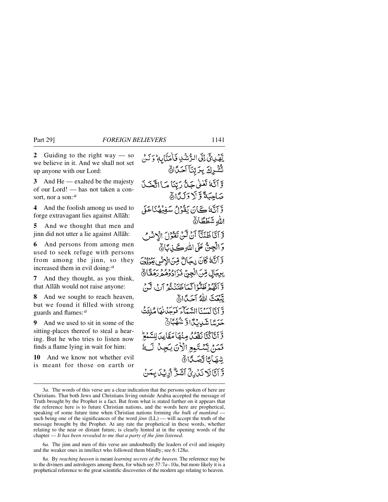**2** Guiding to the right way — so we believe in it. And we shall not set up anyone with our Lord:

**3** And He — exalted be the majesty of our Lord! — has not taken a consort, nor a son:*<sup>a</sup>*

**4** And the foolish among us used to forge extravagant lies against Allåh:

**5** And we thought that men and jinn did not utter a lie against Allåh:

**6** And persons from among men used to seek refuge with persons from among the jinn, so they increased them in evil doing:*<sup>a</sup>*

**7** And they thought, as you think, that Allåh would not raise anyone:

**8** And we sought to reach heaven, but we found it filled with strong guards and flames:*<sup>a</sup>*

**9** And we used to sit in some of the sitting-places thereof to steal a hearing. But he who tries to listen now finds a flame lying in wait for him:

**10** And we know not whether evil is meant for those on earth or

يَّهْدِينَّ إِلَى الرُّشْدِ فَأَمَنَّابِهِ وَلَنَّ تَشْرِكَ بِرَبِّنَآ اَحَدًانَّ وَآتَهُ تَعْلَى جَنَّ رَبِّنَا مَا اتَّخَذَ صَاحِبَةً وَ لَا دَلَدًا أَهْ وَّ اَنَّهٗ كَانَ يَقُوْلُ سَفِيهُنَاعَلَى الله شَطَطَانٌ وَّ آَتَّا ظَنَنَّا آَنْ لَّنْ تَقْوُلَ الْإِنْسُ وَالْجِنَّ عَلَى اللَّهِ كَـذِبَّانَ وَّ أَنَّهُ كَانَ رِجَالٌ مِّنَ الْإِنْسِ بِعِنْ وَهُ بِرِجَالٍ مِّنَ الْجِنَّ ذَرَادُوهُمْ رَهَقَّا ﴾ وَ أَيُّهُمْ ظَنُّوْا كَيَاظَنَنَّهُمْ آرِ بِي آيَّ. تَّنْعَتَ اللَّهُ أَحَدًّاأَهُ وَّ أَنَّا لَيَسْنَأَ السَّيِّآءَ فَدَحَدْنِهَا مُلَّفَتُ **حَرَسًا شَّدِيِّنَّا وَّ شُهُبَ**اهُ وَّ أَنَّا كُنَّا نَقْعُدُ مِنْهَا مَقَامِدَ لِلسَّمْعُ فَمَنْ يَشْتَمِعِ الْأَنَ يَجِنْ لَهُ شهَائا تصَكَانَ وَّ آَتَالَا نَنْ رِجِّ آَشَرٌ أَرِيْكَ بِمَنْ

6*a.* The jinn and men of this verse are undoubtedly the leaders of evil and iniquity and the weaker ones in intellect who followed them blindly; see 6:128*a*.

8*a.* By *reaching heaven* is meant *learning secrets of the heaven*. The reference may be to the diviners and astrologers among them, for which see 37:7*a*–10*a*, but more likely it is a prophetical reference to the great scientific discoveries of the modern age relating to heaven.

<sup>3</sup>*a.* The words of this verse are a clear indication that the persons spoken of here are Christians. That both Jews and Christians living outside Arabia accepted the message of Truth brought by the Prophet is a fact. But from what is stated further on it appears that the reference here is to future Christian nations, and the words here are prophetical, speaking of some future time when Christian nations forming *the bulk of mankind* such being one of the significances of the word *jinn* (LL) — will accept the truth of the message brought by the Prophet. At any rate the prophetical in these words, whether relating to the near or distant future, is clearly hinted at in the opening words of the chapter — *It has been revealed to me that a party of the jinn listened*.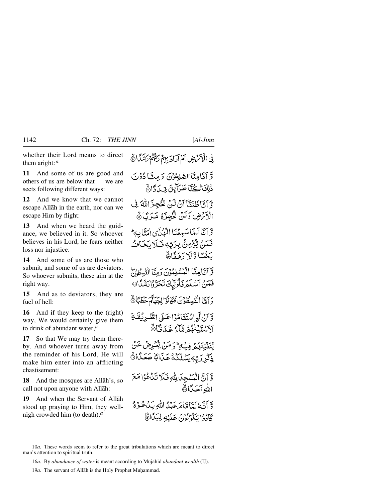whether their Lord means to direct them aright:*<sup>a</sup>*

**11** And some of us are good and others of us are below that — we are sects following different ways:

**12** And we know that we cannot escape Allåh in the earth, nor can we escape Him by flight:

**13** And when we heard the guidance, we believed in it. So whoever believes in his Lord, he fears neither loss nor injustice:

**14** And some of us are those who submit, and some of us are deviators. So whoever submits, these aim at the right way.

**15** And as to deviators, they are fuel of hell:

**16** And if they keep to the (right) way, We would certainly give them to drink of abundant water,*<sup>a</sup>*

**17** So that We may try them thereby. And whoever turns away from the reminder of his Lord, He will make him enter into an afflicting chastisement:

**18** And the mosques are Allåh's, so call not upon anyone with Allåh:

**19** And when the Servant of Allåh stood up praying to Him, they wellnigh crowded him (to death).*<sup>a</sup>*

فِي الْأَكْرَضِ أَمْ آرَادَ بِهِمْ رَبِّهُمْ رَشِّهُمْ لَشَّكَّانٌ

وَّ آتَامِنَّا الصُّلِحُوْنَ دَمِتَّا دُوْنَ ذٰلِكَ الْحَيَّابَا طَرَآيِقَ فِ بِيَ دَارِ وَّ أَنَّا ظَنَكَّا أَنْ تَنْ تَقْجِزَ اللَّهَ فِي الْأَنْهَضِ وَلَنْ تُؤْجِزَهُ هَذَبًا ﴾

وَّ أَنَّا لَمِّاً سَمِعْنَا الْهُلَّى امَنَّابِه<sup>ِ ا</sup> فَمَنْ يُّؤْمِنُ بِرَبِّهٖ فَـلَا بَخَافُ يَخْسًا وَلَا دَهَقَاءُ

وَّ أَتَّامِنَّا الْمُسْلِمُونَ دَمِيَّا الْقُسِطُونَ فَعَنْ آسْلَمَ فَأُولَيْكَ تَحَرَّوْاتِشَكَّا@

دَ آمَّا الْقْبِيطُوْنَ فَكَانُوًّا لِجِهَةً حَطَبًا۞

وَّ إِنَّ لَوِ اسْتَقَامُوْا عَبَى الطَّيْرِيْقَةِ لَأَسْقَبْنَهُمْ مَّآءً غَدَقًّا ﴾

لِّنَفَيْنَهُمُّ فِيَّةٍ وَمَنْ يَعْرِضْ عَنْ ذِكْرِ رَبِّهٖ يَسُلُّكُهُ عَذَابًا صَعَدًا ﴾

وَّ آنَّ الْمَسْجِدَ لِلَّٰهِ فَلَا تَدَْعُوْا مَعَ الله آحَدًا۞

وَّ آَنَّهُ لَيَّاَ قَامَرَ عَدْلُ اللَّهِ بَدُعُودٌ كَادُوْا يَكُونُونَ عَلَيْهِ لِبَيَّاتَ

<sup>10</sup>*a.* These words seem to refer to the great tribulations which are meant to direct man's attention to spiritual truth.

<sup>16</sup>*a.* By *abundance of water* is meant according to Mujåhid *abundant wealth* (IJ).

<sup>19</sup>*a*. The servant of Allāh is the Holy Prophet Muhammad.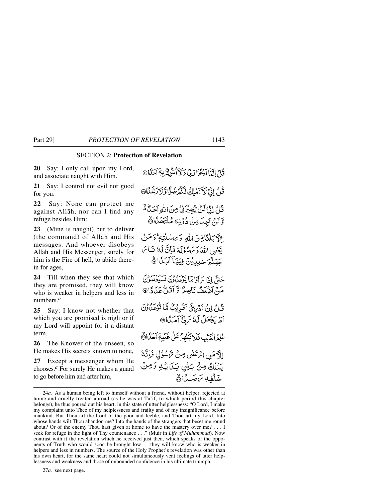## SECTION 2: **Protection of Revelation**

**20** Say: I only call upon my Lord, and associate naught with Him.

**21** Say: I control not evil nor good for you.

**22** Say: None can protect me against Allåh, nor can I find any refuge besides Him:

**23** (Mine is naught) but to deliver (the command) of Allåh and His messages. And whoever disobeys Allåh and His Messenger, surely for him is the Fire of hell, to abide therein for ages,

**24** Till when they see that which they are promised, they will know who is weaker in helpers and less in numbers.*<sup>a</sup>*

**25** Say: I know not whether that which you are promised is nigh or if my Lord will appoint for it a distant term.

**26** The Knower of the unseen, so He makes His secrets known to none,

**27** Except a messenger whom He chooses.*<sup>a</sup>* For surely He makes a guard to go before him and after him,

قُلْ إِنَّمَا اَدْعُوْا رَبِّيْ وَلَاَ أَسْرُكُ بِهَ اَحَدًا ثَلِّ إِنَّ لَاَ آمَلِكُ لَكُمْ ضَرَّا وَلَا رَشَكَا® قُلْ إِنَّىٰ لَنَّ يَّجِيْرَنِي مِنَ اللَّهِ آَحَدٌ هُ وَّلَنْ آجِدَ مِنْ دُوْنِهِ مُلْتَحَدًّا الآديكغاص، الله وَبِراسُلْتِهِ وَمِنْ يَّعْصِ اللَّهَ وَكَامَوْلَهُ فَإِنَّ لَهُ نَاكِر جَهَنَّمَ خَٰلِيِّيْنَ فِيُّهَاَ آَبَدًَا ﴾ حَتَّى إِذَا بَرَآوَاهَا بِعُوعِدُونَ فَسَيُعِلُّهُونَ مَنْ آمِعِفُ نَاصِرًا وَّ آقَلٌّ عَدَدَّا® قُبِلْ إِنْ آدْبِهِ فَيَ آقَدِيْبٌ مَّا تُؤْمِنُونَ آمْرِيَجْعَلُ لَيْ سَنِيٌّ آمَيَّا® عْلَمُ الْعَيْبِ فَلَا يُظْهِرُ عَلَى خَيْبِةِ آحَلَّانَ إلَّا مَنِ الْمَتَضَى مِنْ تَمَسُوْلٍ فَإِنَّةً يَسْلُكُ مِنْ بَيْنِ بِيَا بِهِ وَمِنْ خَلْفِهِ بَاصَكًا

27*a,* see next page.

<sup>24</sup>*a.* As a human being left to himself without a friend, without helper, rejected at home and cruelly treated abroad (as he was at  $\overline{T}a$ 'if, to which period this chapter belongs), he thus poured out his heart, in this state of utter helplessness: "O Lord, I make my complaint unto Thee of my helplessness and frailty and of my insignificance before mankind. But Thou art the Lord of the poor and feeble, and Thou art my Lord. Into whose hands wilt Thou abandon me? Into the hands of the strangers that beset me round about? Or of the enemy Thou hast given at home to have the mastery over me? . . . I seek for refuge in the light of Thy countenance . . ." (Muir in *Life of Muhammad*). Now contrast with it the revelation which he received just then, which speaks of the opponents of Truth who would soon be brought low — they will know who is weaker in helpers and less in numbers. The source of the Holy Prophet's revelation was other than his own heart, for the same heart could not simultaneously vent feelings of utter helplessness and weakness and those of unbounded confidence in his ultimate triumph.